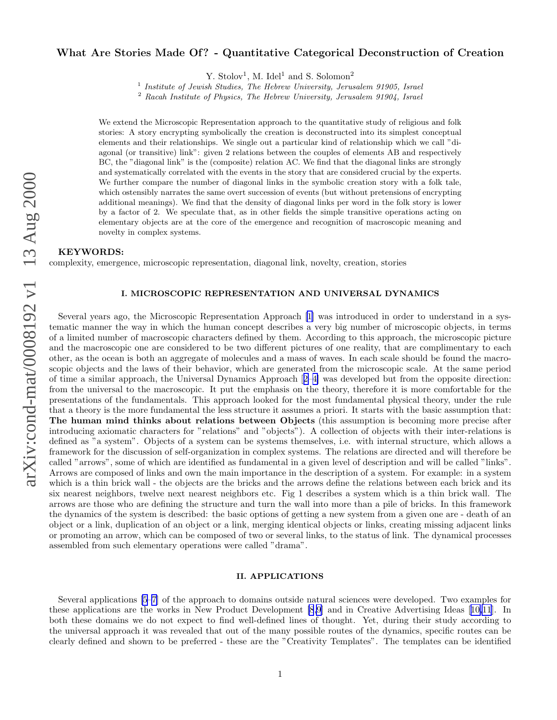# What Are Stories Made Of? - Quantitative Categorical Deconstruction of Creation

Y. Stolov<sup>1</sup>, M. Idel<sup>1</sup> and S. Solomon<sup>2</sup>

<sup>1</sup> Institute of Jewish Studies, The Hebrew University, Jerusalem 91905, Israel

 $2$  Racah Institute of Physics, The Hebrew University, Jerusalem 91904, Israel

We extend the Microscopic Representation approach to the quantitative study of religious and folk stories: A story encrypting symbolically the creation is deconstructed into its simplest conceptual elements and their relationships. We single out a particular kind of relationship which we call "diagonal (or transitive) link": given 2 relations between the couples of elements AB and respectively BC, the "diagonal link" is the (composite) relation AC. We find that the diagonal links are strongly and systematically correlated with the events in the story that are considered crucial by the experts. We further compare the number of diagonal links in the symbolic creation story with a folk tale, which ostensibly narrates the same overt succession of events (but without pretensions of encrypting additional meanings). We find that the density of diagonal links per word in the folk story is lower by a factor of 2. We speculate that, as in other fields the simple transitive operations acting on elementary objects are at the core of the emergence and recognition of macroscopic meaning and novelty in complex systems.

#### KEYWORDS:

complexity, emergence, microscopic representation, diagonal link, novelty, creation, stories

#### I. MICROSCOPIC REPRESENTATION AND UNIVERSAL DYNAMICS

Several years ago, the Microscopic Representation Approach [\[1](#page-3-0)] was introduced in order to understand in a systematic manner the way in which the human concept describes a very big number of microscopic objects, in terms of a limited number of macroscopic characters defined by them. According to this approach, the microscopic picture and the macroscopic one are considered to be two different pictures of one reality, that are complimentary to each other, as the ocean is both an aggregate of molecules and a mass of waves. In each scale should be found the macroscopic objects and the laws of their behavior, which are generated from the microscopic scale. At the same period of time a similar approach, the Universal Dynamics Approach [[2–4\]](#page-3-0) was developed but from the opposite direction: from the universal to the macroscopic. It put the emphasis on the theory, therefore it is more comfortable for the presentations of the fundamentals. This approach looked for the most fundamental physical theory, under the rule that a theory is the more fundamental the less structure it assumes a priori. It starts with the basic assumption that: The human mind thinks about relations between Objects (this assumption is becoming more precise after introducing axiomatic characters for "relations" and "objects"). A collection of objects with their inter-relations is defined as "a system". Objects of a system can be systems themselves, i.e. with internal structure, which allows a framework for the discussion of self-organization in complex systems. The relations are directed and will therefore be called "arrows", some of which are identified as fundamental in a given level of description and will be called "links". Arrows are composed of links and own the main importance in the description of a system. For example: in a system which is a thin brick wall - the objects are the bricks and the arrows define the relations between each brick and its six nearest neighbors, twelve next nearest neighbors etc. Fig 1 describes a system which is a thin brick wall. The arrows are those who are defining the structure and turn the wall into more than a pile of bricks. In this framework the dynamics of the system is described: the basic options of getting a new system from a given one are - death of an object or a link, duplication of an object or a link, merging identical objects or links, creating missing adjacent links or promoting an arrow, which can be composed of two or several links, to the status of link. The dynamical processes assembled from such elementary operations were called "drama".

## II. APPLICATIONS

Several applications [\[5–7](#page-3-0)] of the approach to domains outside natural sciences were developed. Two examples for these applications are the works in New Product Development [\[8,9](#page-3-0)] and in Creative Advertising Ideas[[10,11](#page-3-0)]. In both these domains we do not expect to find well-defined lines of thought. Yet, during their study according to the universal approach it was revealed that out of the many possible routes of the dynamics, specific routes can be clearly defined and shown to be preferred - these are the "Creativity Templates". The templates can be identified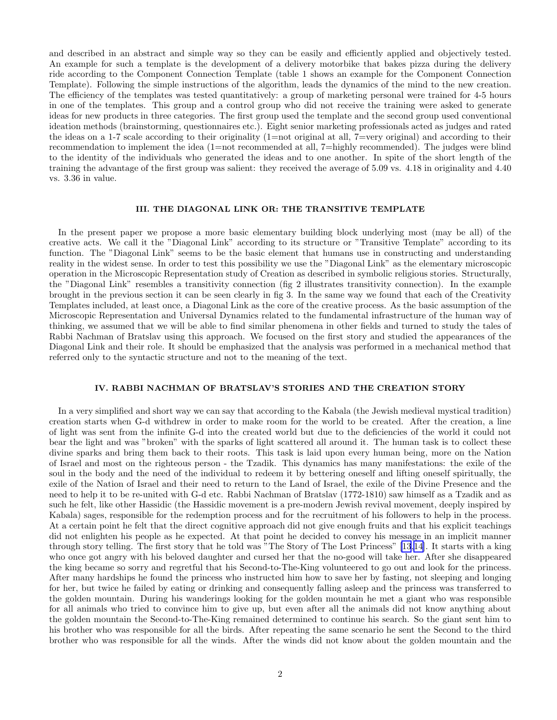and described in an abstract and simple way so they can be easily and efficiently applied and objectively tested. An example for such a template is the development of a delivery motorbike that bakes pizza during the delivery ride according to the Component Connection Template (table 1 shows an example for the Component Connection Template). Following the simple instructions of the algorithm, leads the dynamics of the mind to the new creation. The efficiency of the templates was tested quantitatively: a group of marketing personal were trained for 4-5 hours in one of the templates. This group and a control group who did not receive the training were asked to generate ideas for new products in three categories. The first group used the template and the second group used conventional ideation methods (brainstorming, questionnaires etc.). Eight senior marketing professionals acted as judges and rated the ideas on a 1-7 scale according to their originality (1=not original at all, 7=very original) and according to their recommendation to implement the idea (1=not recommended at all, 7=highly recommended). The judges were blind to the identity of the individuals who generated the ideas and to one another. In spite of the short length of the training the advantage of the first group was salient: they received the average of 5.09 vs. 4.18 in originality and 4.40 vs. 3.36 in value.

## III. THE DIAGONAL LINK OR: THE TRANSITIVE TEMPLATE

In the present paper we propose a more basic elementary building block underlying most (may be all) of the creative acts. We call it the "Diagonal Link" according to its structure or "Transitive Template" according to its function. The "Diagonal Link" seems to be the basic element that humans use in constructing and understanding reality in the widest sense. In order to test this possibility we use the "Diagonal Link" as the elementary microscopic operation in the Microscopic Representation study of Creation as described in symbolic religious stories. Structurally, the "Diagonal Link" resembles a transitivity connection (fig 2 illustrates transitivity connection). In the example brought in the previous section it can be seen clearly in fig 3. In the same way we found that each of the Creativity Templates included, at least once, a Diagonal Link as the core of the creative process. As the basic assumption of the Microscopic Representation and Universal Dynamics related to the fundamental infrastructure of the human way of thinking, we assumed that we will be able to find similar phenomena in other fields and turned to study the tales of Rabbi Nachman of Bratslav using this approach. We focused on the first story and studied the appearances of the Diagonal Link and their role. It should be emphasized that the analysis was performed in a mechanical method that referred only to the syntactic structure and not to the meaning of the text.

### IV. RABBI NACHMAN OF BRATSLAV'S STORIES AND THE CREATION STORY

In a very simplified and short way we can say that according to the Kabala (the Jewish medieval mystical tradition) creation starts when G-d withdrew in order to make room for the world to be created. After the creation, a line of light was sent from the infinite G-d into the created world but due to the deficiencies of the world it could not bear the light and was "broken" with the sparks of light scattered all around it. The human task is to collect these divine sparks and bring them back to their roots. This task is laid upon every human being, more on the Nation of Israel and most on the righteous person - the Tzadik. This dynamics has many manifestations: the exile of the soul in the body and the need of the individual to redeem it by bettering oneself and lifting oneself spiritually, the exile of the Nation of Israel and their need to return to the Land of Israel, the exile of the Divine Presence and the need to help it to be re-united with G-d etc. Rabbi Nachman of Bratslav (1772-1810) saw himself as a Tzadik and as such he felt, like other Hassidic (the Hassidic movement is a pre-modern Jewish revival movement, deeply inspired by Kabala) sages, responsible for the redemption process and for the recruitment of his followers to help in the process. At a certain point he felt that the direct cognitive approach did not give enough fruits and that his explicit teachings did not enlighten his people as he expected. At that point he decided to convey his message in an implicit manner through story telling. The first story that he told was "The Story of The Lost Princess" [\[13,14](#page-3-0)]. It starts with a king who once got angry with his beloved daughter and cursed her that the no-good will take her. After she disappeared the king became so sorry and regretful that his Second-to-The-King volunteered to go out and look for the princess. After many hardships he found the princess who instructed him how to save her by fasting, not sleeping and longing for her, but twice he failed by eating or drinking and consequently falling asleep and the princess was transferred to the golden mountain. During his wanderings looking for the golden mountain he met a giant who was responsible for all animals who tried to convince him to give up, but even after all the animals did not know anything about the golden mountain the Second-to-The-King remained determined to continue his search. So the giant sent him to his brother who was responsible for all the birds. After repeating the same scenario he sent the Second to the third brother who was responsible for all the winds. After the winds did not know about the golden mountain and the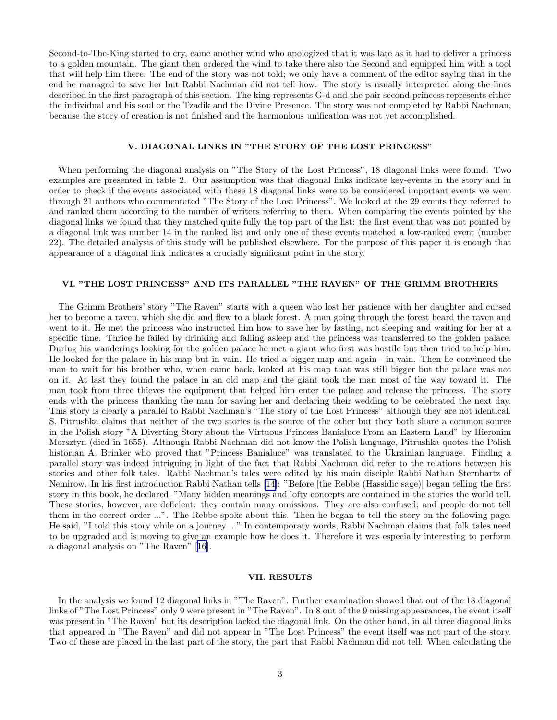Second-to-The-King started to cry, came another wind who apologized that it was late as it had to deliver a princess to a golden mountain. The giant then ordered the wind to take there also the Second and equipped him with a tool that will help him there. The end of the story was not told; we only have a comment of the editor saying that in the end he managed to save her but Rabbi Nachman did not tell how. The story is usually interpreted along the lines described in the first paragraph of this section. The king represents G-d and the pair second-princess represents either the individual and his soul or the Tzadik and the Divine Presence. The story was not completed by Rabbi Nachman, because the story of creation is not finished and the harmonious unification was not yet accomplished.

### V. DIAGONAL LINKS IN "THE STORY OF THE LOST PRINCESS"

When performing the diagonal analysis on "The Story of the Lost Princess", 18 diagonal links were found. Two examples are presented in table 2. Our assumption was that diagonal links indicate key-events in the story and in order to check if the events associated with these 18 diagonal links were to be considered important events we went through 21 authors who commentated "The Story of the Lost Princess". We looked at the 29 events they referred to and ranked them according to the number of writers referring to them. When comparing the events pointed by the diagonal links we found that they matched quite fully the top part of the list: the first event that was not pointed by a diagonal link was number 14 in the ranked list and only one of these events matched a low-ranked event (number 22). The detailed analysis of this study will be published elsewhere. For the purpose of this paper it is enough that appearance of a diagonal link indicates a crucially significant point in the story.

# VI. "THE LOST PRINCESS" AND ITS PARALLEL "THE RAVEN" OF THE GRIMM BROTHERS

The Grimm Brothers' story "The Raven" starts with a queen who lost her patience with her daughter and cursed her to become a raven, which she did and flew to a black forest. A man going through the forest heard the raven and went to it. He met the princess who instructed him how to save her by fasting, not sleeping and waiting for her at a specific time. Thrice he failed by drinking and falling asleep and the princess was transferred to the golden palace. During his wanderings looking for the golden palace he met a giant who first was hostile but then tried to help him. He looked for the palace in his map but in vain. He tried a bigger map and again - in vain. Then he convinced the man to wait for his brother who, when came back, looked at his map that was still bigger but the palace was not on it. At last they found the palace in an old map and the giant took the man most of the way toward it. The man took from three thieves the equipment that helped him enter the palace and release the princess. The story ends with the princess thanking the man for saving her and declaring their wedding to be celebrated the next day. This story is clearly a parallel to Rabbi Nachman's "The story of the Lost Princess" although they are not identical. S. Pitrushka claims that neither of the two stories is the source of the other but they both share a common source in the Polish story "A Diverting Story about the Virtuous Princess Banialuce From an Eastern Land" by Hieronim Morsztyn (died in 1655). Although Rabbi Nachman did not know the Polish language, Pitrushka quotes the Polish historian A. Brinker who proved that "Princess Banialuce" was translated to the Ukrainian language. Finding a parallel story was indeed intriguing in light of the fact that Rabbi Nachman did refer to the relations between his stories and other folk tales. Rabbi Nachman's tales were edited by his main disciple Rabbi Nathan Sternhartz of Nemirow. In his first introduction Rabbi Nathan tells [\[14\]](#page-3-0): "Before [the Rebbe (Hassidic sage)] began telling the first story in this book, he declared, "Many hidden meanings and lofty concepts are contained in the stories the world tell. These stories, however, are deficient: they contain many omissions. They are also confused, and people do not tell them in the correct order ...". The Rebbe spoke about this. Then he began to tell the story on the following page. He said, "I told this story while on a journey ..." In contemporary words, Rabbi Nachman claims that folk tales need to be upgraded and is moving to give an example how he does it. Therefore it was especially interesting to perform a diagonal analysis on "The Raven"[[16](#page-3-0)].

# VII. RESULTS

In the analysis we found 12 diagonal links in "The Raven". Further examination showed that out of the 18 diagonal links of "The Lost Princess" only 9 were present in "The Raven". In 8 out of the 9 missing appearances, the event itself was present in "The Raven" but its description lacked the diagonal link. On the other hand, in all three diagonal links that appeared in "The Raven" and did not appear in "The Lost Princess" the event itself was not part of the story. Two of these are placed in the last part of the story, the part that Rabbi Nachman did not tell. When calculating the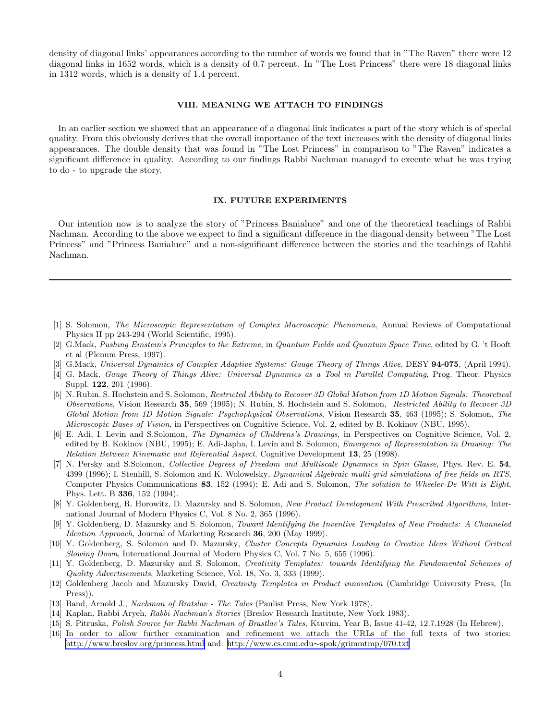<span id="page-3-0"></span>density of diagonal links' appearances according to the number of words we found that in "The Raven" there were 12 diagonal links in 1652 words, which is a density of 0.7 percent. In "The Lost Princess" there were 18 diagonal links in 1312 words, which is a density of 1.4 percent.

#### VIII. MEANING WE ATTACH TO FINDINGS

In an earlier section we showed that an appearance of a diagonal link indicates a part of the story which is of special quality. From this obviously derives that the overall importance of the text increases with the density of diagonal links appearances. The double density that was found in "The Lost Princess" in comparison to "The Raven" indicates a significant difference in quality. According to our findings Rabbi Nachman managed to execute what he was trying to do - to upgrade the story.

## IX. FUTURE EXPERIMENTS

Our intention now is to analyze the story of "Princess Banialuce" and one of the theoretical teachings of Rabbi Nachman. According to the above we expect to find a significant difference in the diagonal density between "The Lost Princess" and "Princess Banialuce" and a non-significant difference between the stories and the teachings of Rabbi Nachman.

- [1] S. Solomon, The Microscopic Representation of Complex Macroscopic Phenomena, Annual Reviews of Computational Physics II pp 243-294 (World Scientific, 1995).
- [2] G.Mack, Pushing Einstein's Principles to the Extreme, in Quantum Fields and Quantum Space Time, edited by G. 't Hooft et al (Plenum Press, 1997).
- [3] G.Mack, Universal Dynamics of Complex Adaptive Systems: Gauge Theory of Things Alive, DESY 94-075, (April 1994).
- [4] G. Mack, Gauge Theory of Things Alive: Universal Dynamics as a Tool in Parallel Computing, Prog. Theor. Physics Suppl. 122, 201 (1996).
- [5] N. Rubin, S. Hochstein and S. Solomon, Restricted Ability to Recover 3D Global Motion from 1D Motion Signals: Theoretical Observations, Vision Research 35, 569 (1995); N. Rubin, S. Hochstein and S. Solomon, Restricted Ability to Recover 3D Global Motion from 1D Motion Signals: Psychophysical Observations, Vision Research 35, 463 (1995); S. Solomon, The Microscopic Bases of Vision, in Perspectives on Cognitive Science, Vol. 2, edited by B. Kokinov (NBU, 1995).
- [6] E. Adi, I. Levin and S.Solomon, *The Dynamics of Childrens's Drawings*, in Perspectives on Cognitive Science, Vol. 2, edited by B. Kokinov (NBU, 1995); E. Adi-Japha, I. Levin and S. Solomon, Emergence of Representation in Drawing: The Relation Between Kinematic and Referential Aspect, Cognitive Development 13, 25 (1998).
- [7] N. Persky and S.Solomon, Collective Degrees of Freedom and Multiscale Dynamics in Spin Glasse, Phys. Rev. E. 54, 4399 (1996); I. Stenhill, S. Solomon and K. Wolowelsky, Dynamical Algebraic multi-grid simulations of free fields on RTS, Computer Physics Communications 83, 152 (1994); E. Adi and S. Solomon, The solution to Wheeler-De Witt is Eight, Phys. Lett. B 336, 152 (1994).
- [8] Y. Goldenberg, R. Horowitz, D. Mazursky and S. Solomon, New Product Development With Prescribed Algorithms, International Journal of Modern Physics C, Vol. 8 No. 2, 365 (1996).
- [9] Y. Goldenberg, D. Mazursky and S. Solomon, Toward Identifying the Inventive Templates of New Products: A Channeled Ideation Approach, Journal of Marketing Research 36, 200 (May 1999).
- [10] Y. Goldenberg, S. Solomon and D. Mazursky, Cluster Concepts Dynamics Leading to Creative Ideas Without Critical Slowing Down, International Journal of Modern Physics C, Vol. 7 No. 5, 655 (1996).
- [11] Y. Goldenberg, D. Mazursky and S. Solomon, Creativity Templates: towards Identifying the Fundamental Schemes of Quality Advertisements, Marketing Science, Vol. 18, No. 3, 333 (1999).
- [12] Goldenberg Jacob and Mazursky David, Creativity Templates in Product innovation (Cambridge University Press, (In Press)).
- [13] Band, Arnold J., Nachman of Bratslav The Tales (Paulist Press, New York 1978).
- [14] Kaplan, Rabbi Aryeh, Rabbi Nachman's Stories (Breslov Research Institute, New York 1983).
- [15] S. Pitruska, Polish Source for Rabbi Nachman of Brastlav's Tales, Ktuvim, Year B, Issue 41-42, 12.7.1928 (In Hebrew).
- [16] In order to allow further examination and refinement we attach the URLs of the full texts of two stories: <http://www.breslov.org/princess.html> and: http://www.cs.cmu.edu∼[spok/grimmtmp/070.txt](http://www.cs.cmu.edu~spok/grimmtmp/070.txt)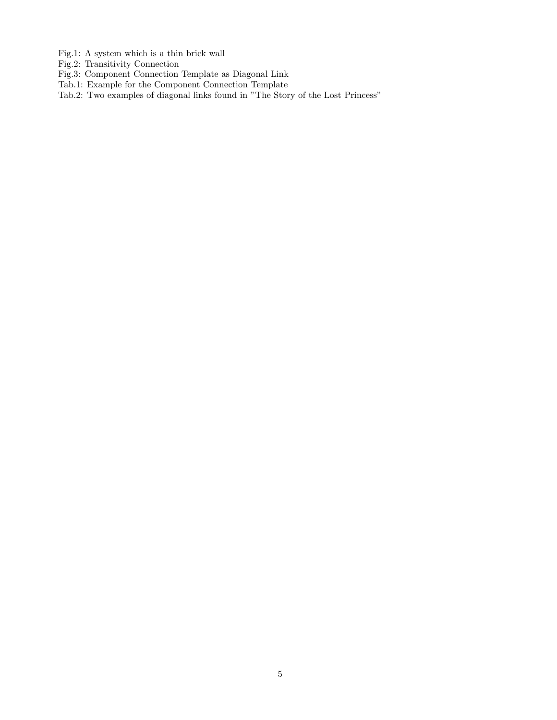- Fig.1: A system which is a thin brick wall
- Fig.2: Transitivity Connection
- Fig.3: Component Connection Template as Diagonal Link
- Tab.1: Example for the Component Connection Template
- Tab.2: Two examples of diagonal links found in "The Story of the Lost Princess"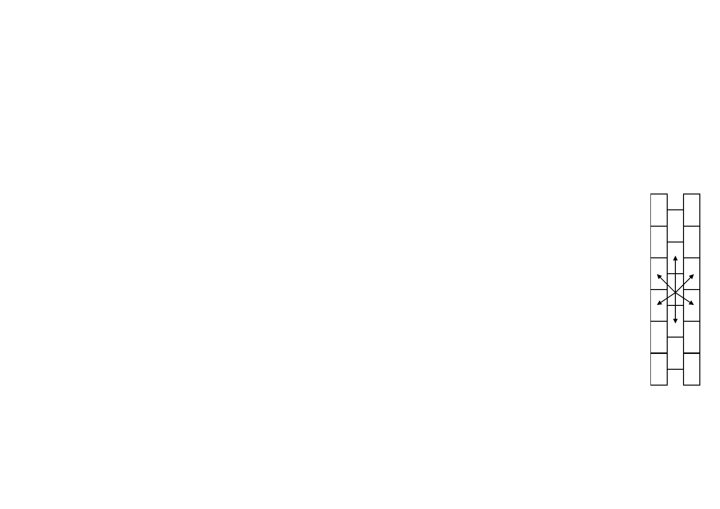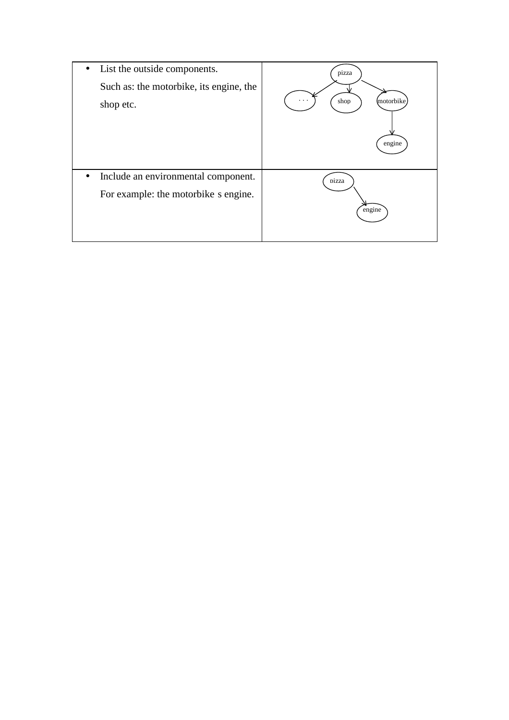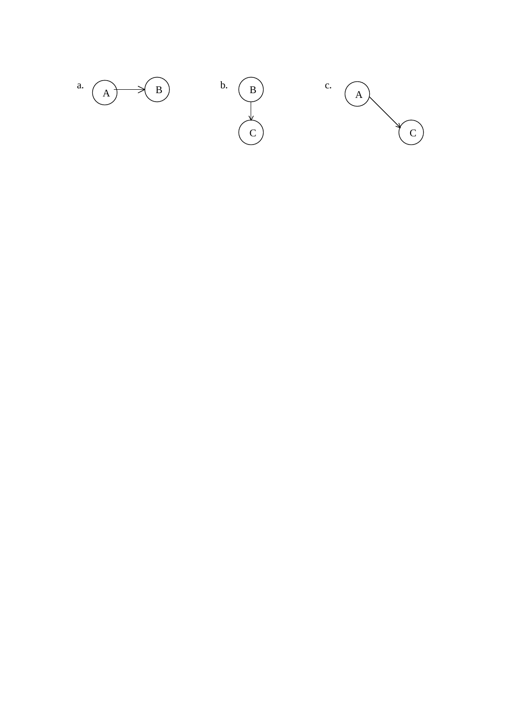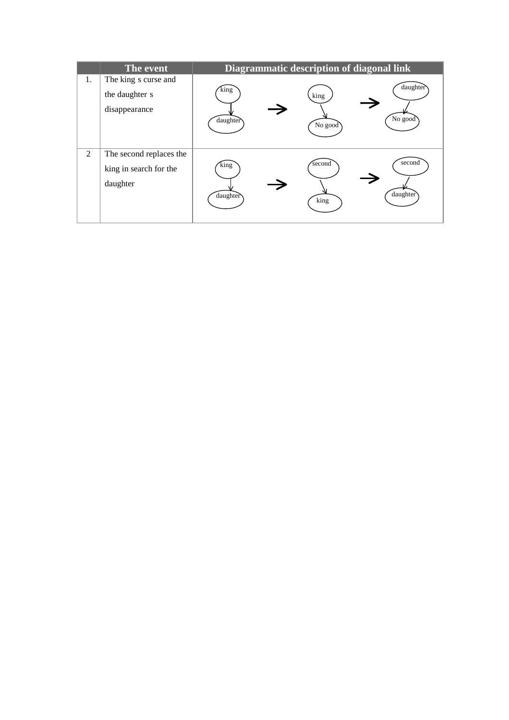|    | The event                                                     | Diagrammatic description of diagonal link                  |
|----|---------------------------------------------------------------|------------------------------------------------------------|
| 1. | The king s curse and<br>the daughter s<br>disappearance       | daughter<br>king<br>king<br>No good<br>daughter<br>No good |
| 2  | The second replaces the<br>king in search for the<br>daughter | second<br>second<br>king<br>daughter<br>daughter<br>king   |